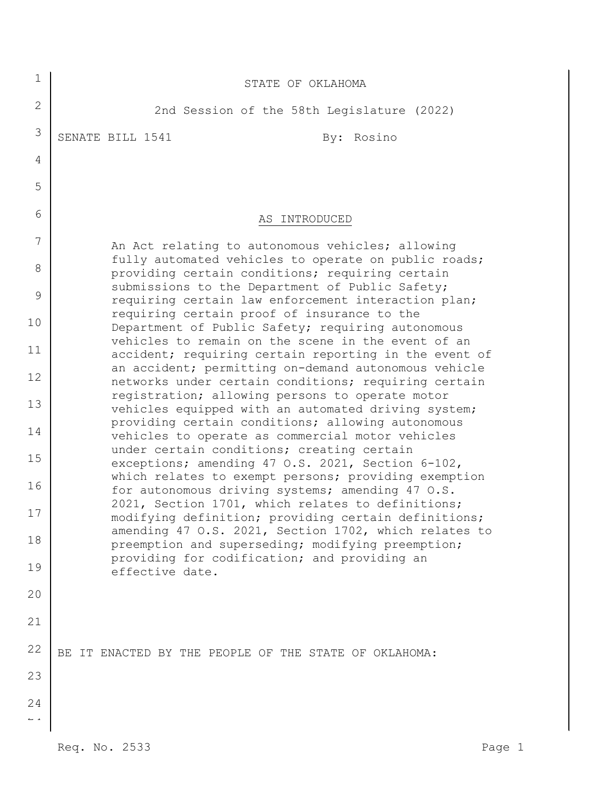| $\mathbf{2}$<br>2nd Session of the 58th Legislature (2022)<br>3<br>SENATE BILL 1541<br>By: Rosino<br>4<br>5<br>6<br>AS INTRODUCED<br>7<br>An Act relating to autonomous vehicles; allowing<br>fully automated vehicles to operate on public roads;<br>8<br>providing certain conditions; requiring certain<br>submissions to the Department of Public Safety;<br>9<br>requiring certain law enforcement interaction plan;<br>requiring certain proof of insurance to the<br>10<br>Department of Public Safety; requiring autonomous<br>vehicles to remain on the scene in the event of an<br>11<br>accident; requiring certain reporting in the event of<br>an accident; permitting on-demand autonomous vehicle<br>12<br>networks under certain conditions; requiring certain<br>registration; allowing persons to operate motor<br>13<br>vehicles equipped with an automated driving system;<br>providing certain conditions; allowing autonomous |  |
|-----------------------------------------------------------------------------------------------------------------------------------------------------------------------------------------------------------------------------------------------------------------------------------------------------------------------------------------------------------------------------------------------------------------------------------------------------------------------------------------------------------------------------------------------------------------------------------------------------------------------------------------------------------------------------------------------------------------------------------------------------------------------------------------------------------------------------------------------------------------------------------------------------------------------------------------------------|--|
|                                                                                                                                                                                                                                                                                                                                                                                                                                                                                                                                                                                                                                                                                                                                                                                                                                                                                                                                                     |  |
|                                                                                                                                                                                                                                                                                                                                                                                                                                                                                                                                                                                                                                                                                                                                                                                                                                                                                                                                                     |  |
|                                                                                                                                                                                                                                                                                                                                                                                                                                                                                                                                                                                                                                                                                                                                                                                                                                                                                                                                                     |  |
|                                                                                                                                                                                                                                                                                                                                                                                                                                                                                                                                                                                                                                                                                                                                                                                                                                                                                                                                                     |  |
|                                                                                                                                                                                                                                                                                                                                                                                                                                                                                                                                                                                                                                                                                                                                                                                                                                                                                                                                                     |  |
|                                                                                                                                                                                                                                                                                                                                                                                                                                                                                                                                                                                                                                                                                                                                                                                                                                                                                                                                                     |  |
|                                                                                                                                                                                                                                                                                                                                                                                                                                                                                                                                                                                                                                                                                                                                                                                                                                                                                                                                                     |  |
|                                                                                                                                                                                                                                                                                                                                                                                                                                                                                                                                                                                                                                                                                                                                                                                                                                                                                                                                                     |  |
|                                                                                                                                                                                                                                                                                                                                                                                                                                                                                                                                                                                                                                                                                                                                                                                                                                                                                                                                                     |  |
|                                                                                                                                                                                                                                                                                                                                                                                                                                                                                                                                                                                                                                                                                                                                                                                                                                                                                                                                                     |  |
|                                                                                                                                                                                                                                                                                                                                                                                                                                                                                                                                                                                                                                                                                                                                                                                                                                                                                                                                                     |  |
|                                                                                                                                                                                                                                                                                                                                                                                                                                                                                                                                                                                                                                                                                                                                                                                                                                                                                                                                                     |  |
| 14<br>vehicles to operate as commercial motor vehicles                                                                                                                                                                                                                                                                                                                                                                                                                                                                                                                                                                                                                                                                                                                                                                                                                                                                                              |  |
| under certain conditions; creating certain<br>15<br>exceptions; amending 47 O.S. 2021, Section 6-102,                                                                                                                                                                                                                                                                                                                                                                                                                                                                                                                                                                                                                                                                                                                                                                                                                                               |  |
| which relates to exempt persons; providing exemption<br>16<br>for autonomous driving systems; amending 47 O.S.                                                                                                                                                                                                                                                                                                                                                                                                                                                                                                                                                                                                                                                                                                                                                                                                                                      |  |
| 2021, Section 1701, which relates to definitions;<br>17<br>modifying definition; providing certain definitions;                                                                                                                                                                                                                                                                                                                                                                                                                                                                                                                                                                                                                                                                                                                                                                                                                                     |  |
| amending 47 O.S. 2021, Section 1702, which relates to<br>18<br>preemption and superseding; modifying preemption;                                                                                                                                                                                                                                                                                                                                                                                                                                                                                                                                                                                                                                                                                                                                                                                                                                    |  |
| providing for codification; and providing an<br>19<br>effective date.                                                                                                                                                                                                                                                                                                                                                                                                                                                                                                                                                                                                                                                                                                                                                                                                                                                                               |  |
| 20                                                                                                                                                                                                                                                                                                                                                                                                                                                                                                                                                                                                                                                                                                                                                                                                                                                                                                                                                  |  |
| 21                                                                                                                                                                                                                                                                                                                                                                                                                                                                                                                                                                                                                                                                                                                                                                                                                                                                                                                                                  |  |
| 22<br>BE IT ENACTED BY THE PEOPLE OF THE STATE OF OKLAHOMA:                                                                                                                                                                                                                                                                                                                                                                                                                                                                                                                                                                                                                                                                                                                                                                                                                                                                                         |  |
| 23                                                                                                                                                                                                                                                                                                                                                                                                                                                                                                                                                                                                                                                                                                                                                                                                                                                                                                                                                  |  |
| 24<br>$\mathbb L \to$                                                                                                                                                                                                                                                                                                                                                                                                                                                                                                                                                                                                                                                                                                                                                                                                                                                                                                                               |  |
| Req. No. 2533<br>Page 1                                                                                                                                                                                                                                                                                                                                                                                                                                                                                                                                                                                                                                                                                                                                                                                                                                                                                                                             |  |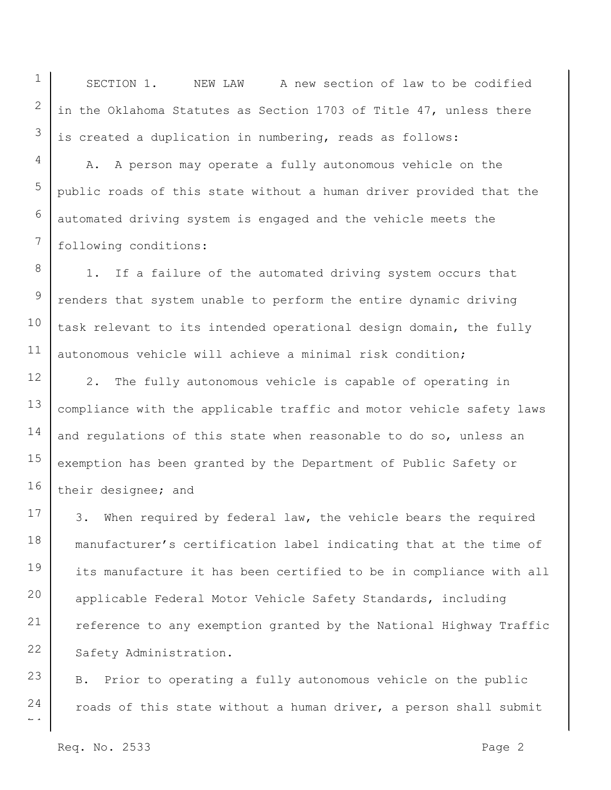SECTION 1. NEW LAW A new section of law to be codified in the Oklahoma Statutes as Section 1703 of Title 47, unless there is created a duplication in numbering, reads as follows:

A. A person may operate a fully autonomous vehicle on the public roads of this state without a human driver provided that the automated driving system is engaged and the vehicle meets the following conditions:

1. If a failure of the automated driving system occurs that renders that system unable to perform the entire dynamic driving task relevant to its intended operational design domain, the fully autonomous vehicle will achieve a minimal risk condition;

12 13 14 15 16 2. The fully autonomous vehicle is capable of operating in compliance with the applicable traffic and motor vehicle safety laws and regulations of this state when reasonable to do so, unless an exemption has been granted by the Department of Public Safety or their designee; and

17 18 19 20 21 22 3. When required by federal law, the vehicle bears the required manufacturer's certification label indicating that at the time of its manufacture it has been certified to be in compliance with all applicable Federal Motor Vehicle Safety Standards, including reference to any exemption granted by the National Highway Traffic Safety Administration.

23 24 B. Prior to operating a fully autonomous vehicle on the public roads of this state without a human driver, a person shall submit

Req. No. 2533 Page 2

 $\overline{a}$ 

1

2

3

4

5

6

7

8

9

10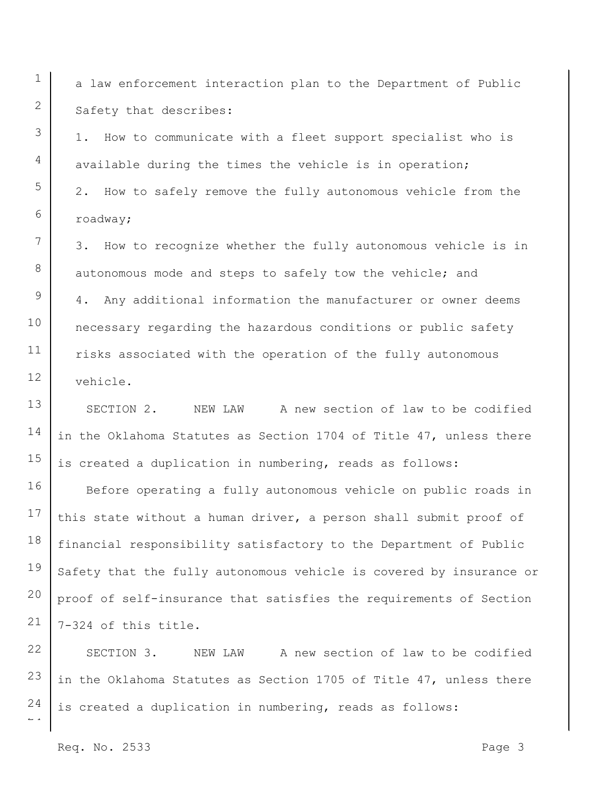a law enforcement interaction plan to the Department of Public Safety that describes:

1. How to communicate with a fleet support specialist who is available during the times the vehicle is in operation; 2. How to safely remove the fully autonomous vehicle from the roadway;

7 8 9 10 11 12 3. How to recognize whether the fully autonomous vehicle is in autonomous mode and steps to safely tow the vehicle; and 4. Any additional information the manufacturer or owner deems necessary regarding the hazardous conditions or public safety risks associated with the operation of the fully autonomous vehicle.

13 14 15 SECTION 2. NEW LAW A new section of law to be codified in the Oklahoma Statutes as Section 1704 of Title 47, unless there is created a duplication in numbering, reads as follows:

16 17 18 19 20 21 Before operating a fully autonomous vehicle on public roads in this state without a human driver, a person shall submit proof of financial responsibility satisfactory to the Department of Public Safety that the fully autonomous vehicle is covered by insurance or proof of self-insurance that satisfies the requirements of Section 7-324 of this title.

22 23 24 SECTION 3. NEW LAW A new section of law to be codified in the Oklahoma Statutes as Section 1705 of Title 47, unless there is created a duplication in numbering, reads as follows:

Req. No. 2533 Page 3

 $\overline{a}$ 

1

2

3

4

5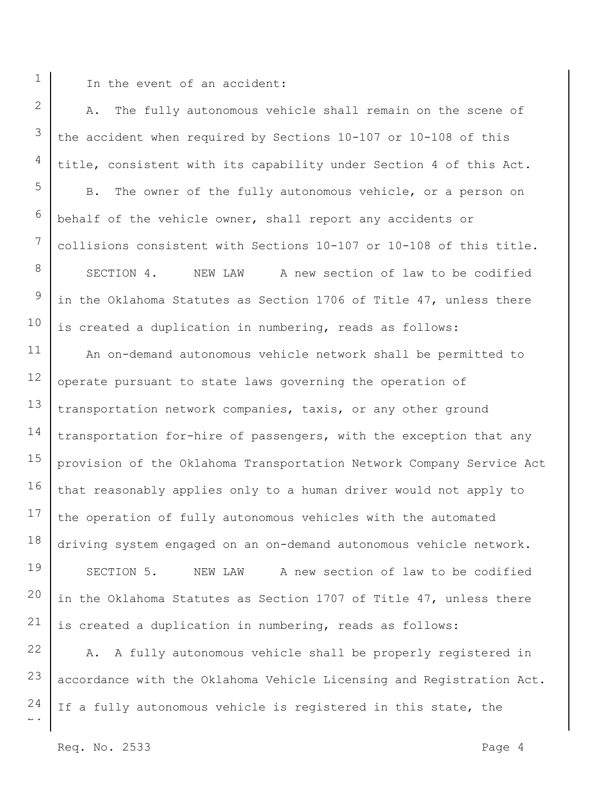1

2

3

4

5

6

7

8

9

10

In the event of an accident:

A. The fully autonomous vehicle shall remain on the scene of the accident when required by Sections 10-107 or 10-108 of this title, consistent with its capability under Section 4 of this Act. B. The owner of the fully autonomous vehicle, or a person on behalf of the vehicle owner, shall report any accidents or collisions consistent with Sections 10-107 or 10-108 of this title. SECTION 4. NEW LAW A new section of law to be codified in the Oklahoma Statutes as Section 1706 of Title 47, unless there is created a duplication in numbering, reads as follows:

11 12 13 14 15 16 17 18 19 20 21 An on-demand autonomous vehicle network shall be permitted to operate pursuant to state laws governing the operation of transportation network companies, taxis, or any other ground transportation for-hire of passengers, with the exception that any provision of the Oklahoma Transportation Network Company Service Act that reasonably applies only to a human driver would not apply to the operation of fully autonomous vehicles with the automated driving system engaged on an on-demand autonomous vehicle network. SECTION 5. NEW LAW A new section of law to be codified in the Oklahoma Statutes as Section 1707 of Title 47, unless there is created a duplication in numbering, reads as follows:

 $\overline{a}$ 22 23 24 A. A fully autonomous vehicle shall be properly registered in accordance with the Oklahoma Vehicle Licensing and Registration Act. If a fully autonomous vehicle is registered in this state, the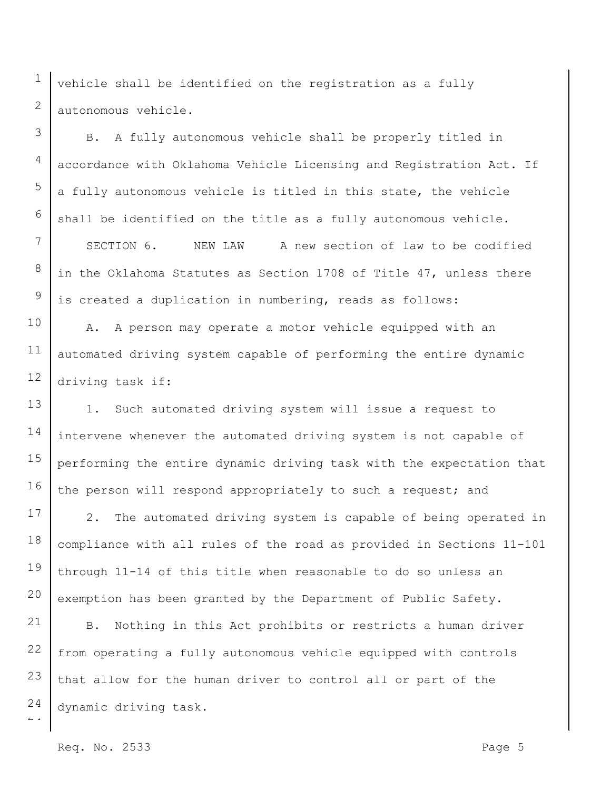vehicle shall be identified on the registration as a fully autonomous vehicle.

B. A fully autonomous vehicle shall be properly titled in accordance with Oklahoma Vehicle Licensing and Registration Act. If a fully autonomous vehicle is titled in this state, the vehicle shall be identified on the title as a fully autonomous vehicle.

SECTION 6. NEW LAW A new section of law to be codified in the Oklahoma Statutes as Section 1708 of Title 47, unless there is created a duplication in numbering, reads as follows:

A. A person may operate a motor vehicle equipped with an automated driving system capable of performing the entire dynamic driving task if:

13 15 16 1. Such automated driving system will issue a request to intervene whenever the automated driving system is not capable of performing the entire dynamic driving task with the expectation that the person will respond appropriately to such a request; and

17 18 19 20 2. The automated driving system is capable of being operated in compliance with all rules of the road as provided in Sections 11-101 through 11-14 of this title when reasonable to do so unless an exemption has been granted by the Department of Public Safety.

 $\overline{a}$ 21 22 23 24 B. Nothing in this Act prohibits or restricts a human driver from operating a fully autonomous vehicle equipped with controls that allow for the human driver to control all or part of the dynamic driving task.

1

2

3

4

5

6

7

8

9

10

11

12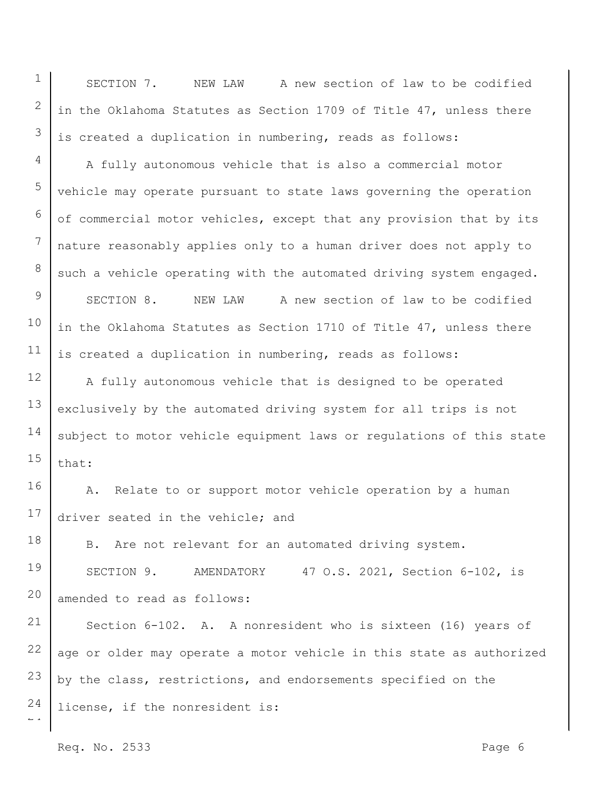SECTION 7. NEW LAW A new section of law to be codified in the Oklahoma Statutes as Section 1709 of Title 47, unless there is created a duplication in numbering, reads as follows:

A fully autonomous vehicle that is also a commercial motor vehicle may operate pursuant to state laws governing the operation of commercial motor vehicles, except that any provision that by its nature reasonably applies only to a human driver does not apply to such a vehicle operating with the automated driving system engaged.

9 10 11 SECTION 8. NEW LAW A new section of law to be codified in the Oklahoma Statutes as Section 1710 of Title 47, unless there is created a duplication in numbering, reads as follows:

12 13 14 15 A fully autonomous vehicle that is designed to be operated exclusively by the automated driving system for all trips is not subject to motor vehicle equipment laws or regulations of this state that:

16 17 A. Relate to or support motor vehicle operation by a human driver seated in the vehicle; and

18 19 20 B. Are not relevant for an automated driving system. SECTION 9. AMENDATORY 47 O.S. 2021, Section 6-102, is amended to read as follows:

 $\overline{a}$ 21 22 23 24 Section 6-102. A. A nonresident who is sixteen (16) years of age or older may operate a motor vehicle in this state as authorized by the class, restrictions, and endorsements specified on the license, if the nonresident is:

Req. No. 2533 Page 6

1

2

3

4

5

6

7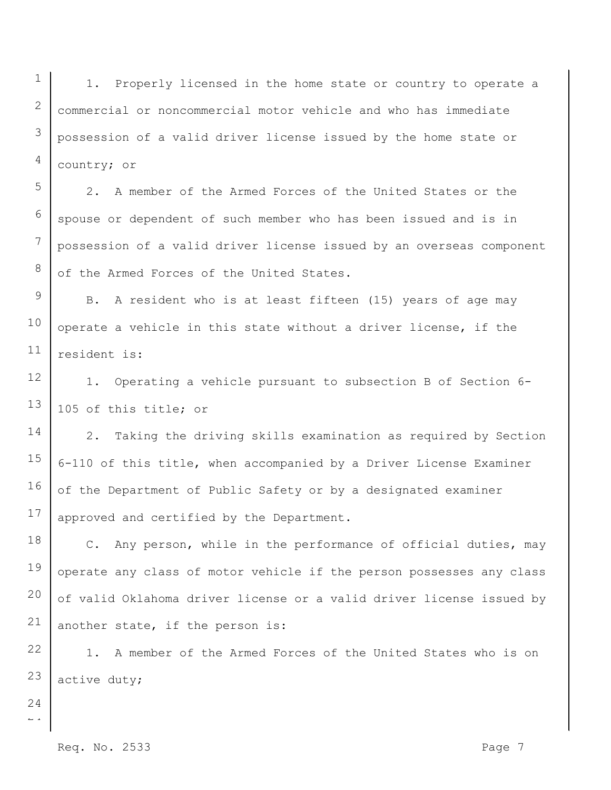1 2 3 4 1. Properly licensed in the home state or country to operate a commercial or noncommercial motor vehicle and who has immediate possession of a valid driver license issued by the home state or country; or

2. A member of the Armed Forces of the United States or the spouse or dependent of such member who has been issued and is in possession of a valid driver license issued by an overseas component of the Armed Forces of the United States.

9 10 11 B. A resident who is at least fifteen (15) years of age may operate a vehicle in this state without a driver license, if the resident is:

12 13 1. Operating a vehicle pursuant to subsection B of Section 6- 105 of this title; or

14 15 16 17 2. Taking the driving skills examination as required by Section 6-110 of this title, when accompanied by a Driver License Examiner of the Department of Public Safety or by a designated examiner approved and certified by the Department.

18 19 20 21 C. Any person, while in the performance of official duties, may operate any class of motor vehicle if the person possesses any class of valid Oklahoma driver license or a valid driver license issued by another state, if the person is:

22 23 1. A member of the Armed Forces of the United States who is on active duty;

 $\overline{a}$ 24

5

6

7

8

Req. No. 2533 Page 7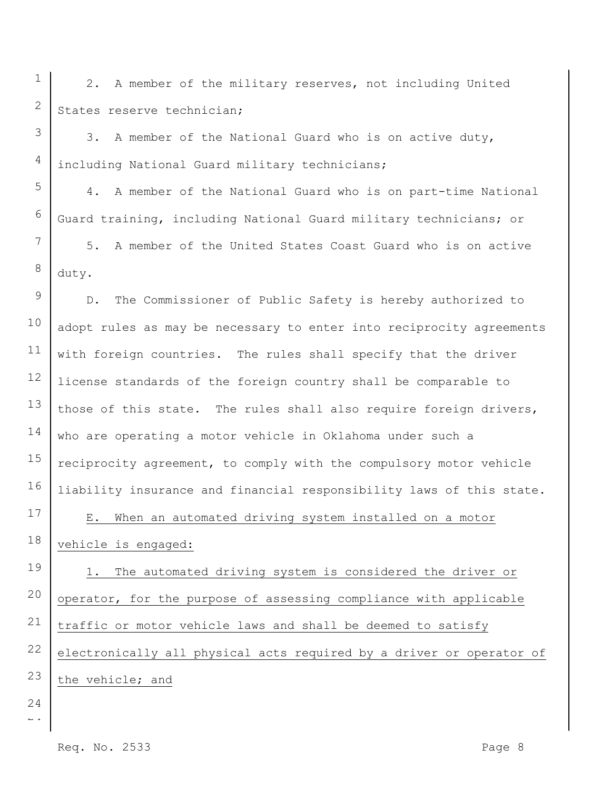2. A member of the military reserves, not including United States reserve technician;

3. A member of the National Guard who is on active duty, including National Guard military technicians;

4. A member of the National Guard who is on part-time National Guard training, including National Guard military technicians; or

8 5. A member of the United States Coast Guard who is on active duty.

9 10 11 12 13 14 15 16 D. The Commissioner of Public Safety is hereby authorized to adopt rules as may be necessary to enter into reciprocity agreements with foreign countries. The rules shall specify that the driver license standards of the foreign country shall be comparable to those of this state. The rules shall also require foreign drivers, who are operating a motor vehicle in Oklahoma under such a reciprocity agreement, to comply with the compulsory motor vehicle liability insurance and financial responsibility laws of this state.

E. When an automated driving system installed on a motor vehicle is engaged:

19 20 21 22 23 1. The automated driving system is considered the driver or operator, for the purpose of assessing compliance with applicable traffic or motor vehicle laws and shall be deemed to satisfy electronically all physical acts required by a driver or operator of the vehicle; and

 $\overline{a}$ 24

17

18

1

2

3

4

5

6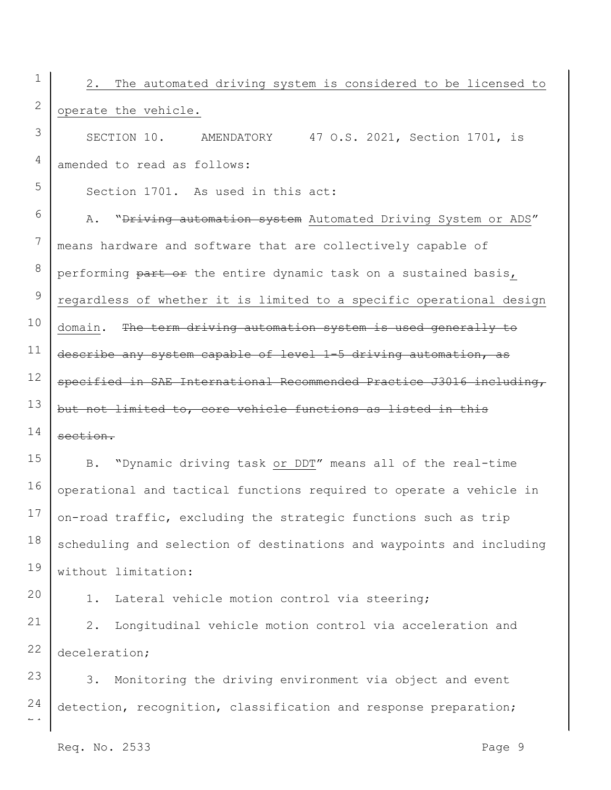1 2 2. The automated driving system is considered to be licensed to operate the vehicle.

SECTION 10. AMENDATORY 47 O.S. 2021, Section 1701, is amended to read as follows:

Section 1701. As used in this act:

3

4

5

20

6 7 8 9 10 11 12 13 14 A. "Driving automation system Automated Driving System or ADS" means hardware and software that are collectively capable of performing part or the entire dynamic task on a sustained basis, regardless of whether it is limited to a specific operational design domain. The term driving automation system is used generally to describe any system capable of level 1-5 driving automation, as specified in SAE International Recommended Practice J3016 including, but not limited to, core vehicle functions as listed in this section.

15 16 17 18 19 B. "Dynamic driving task or DDT" means all of the real-time operational and tactical functions required to operate a vehicle in on-road traffic, excluding the strategic functions such as trip scheduling and selection of destinations and waypoints and including without limitation:

1. Lateral vehicle motion control via steering;

21 22 2. Longitudinal vehicle motion control via acceleration and deceleration;

 $\overline{a}$ 23 24 3. Monitoring the driving environment via object and event detection, recognition, classification and response preparation;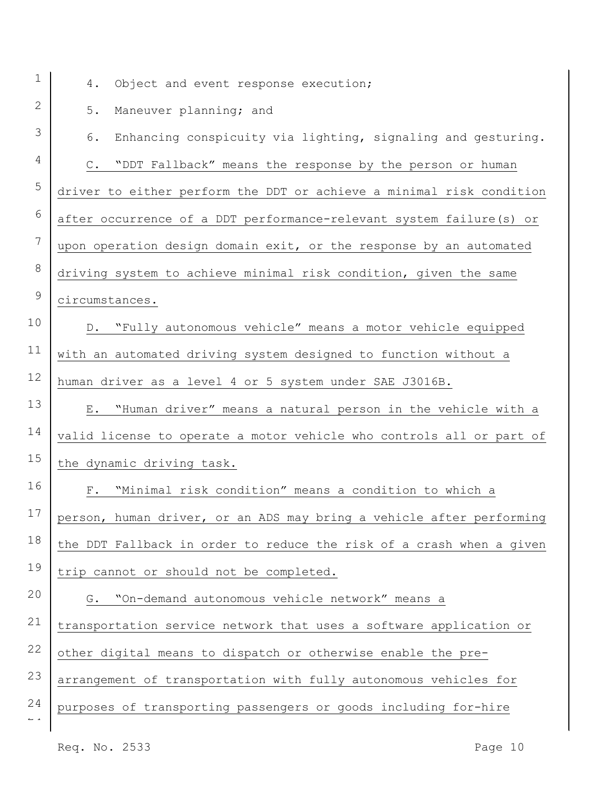| $\mathbf 1$                     | Object and event response execution;<br>4.                                |
|---------------------------------|---------------------------------------------------------------------------|
| 2                               | $5.$<br>Maneuver planning; and                                            |
| 3                               | Enhancing conspicuity via lighting, signaling and gesturing.<br>6.        |
| 4                               | "DDT Fallback" means the response by the person or human<br>$\mathbb C$ . |
| 5                               | driver to either perform the DDT or achieve a minimal risk condition      |
| 6                               | after occurrence of a DDT performance-relevant system failure(s) or       |
| $7\phantom{.0}$                 | upon operation design domain exit, or the response by an automated        |
| 8                               | driving system to achieve minimal risk condition, given the same          |
| $\mathsf 9$                     | circumstances.                                                            |
| 10                              | D. "Fully autonomous vehicle" means a motor vehicle equipped              |
| 11                              | with an automated driving system designed to function without a           |
| 12                              | human driver as a level 4 or 5 system under SAE J3016B.                   |
| 13                              | E. "Human driver" means a natural person in the vehicle with a            |
| 14                              | valid license to operate a motor vehicle who controls all or part of      |
| 15                              | the dynamic driving task.                                                 |
| 16                              | "Minimal risk condition" means a condition to which a<br>$F$ .            |
| 17                              | person, human driver, or an ADS may bring a vehicle after performing      |
| 18                              | the DDT Fallback in order to reduce the risk of a crash when a given      |
| 19                              | trip cannot or should not be completed.                                   |
| 20                              | "On-demand autonomous vehicle network" means a<br>G.                      |
| 21                              | transportation service network that uses a software application or        |
| 22                              | other digital means to dispatch or otherwise enable the pre-              |
| 23                              | arrangement of transportation with fully autonomous vehicles for          |
| 24<br>$\mathbb{L}^ \rightarrow$ | purposes of transporting passengers or goods including for-hire           |
|                                 |                                                                           |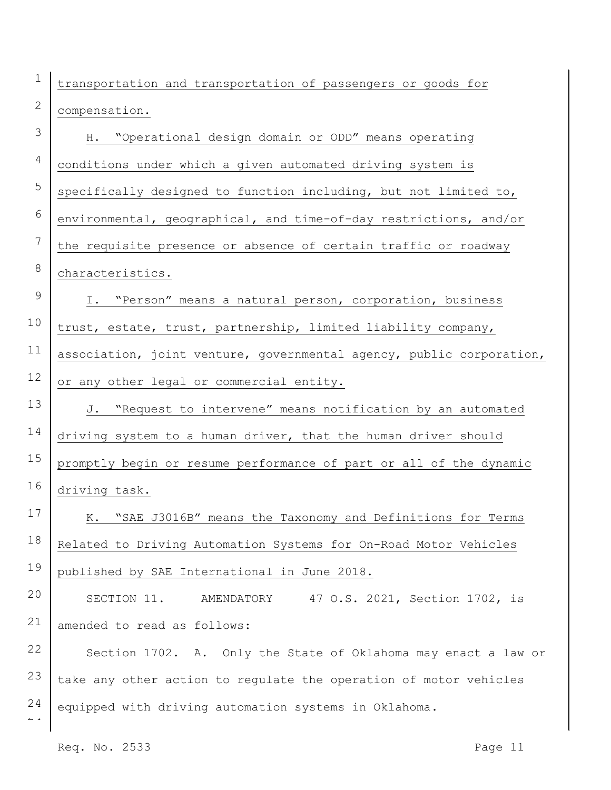transportation and transportation of passengers or goods for compensation.

| 3                             | H. "Operational design domain or ODD" means operating                |
|-------------------------------|----------------------------------------------------------------------|
| $\overline{4}$                | conditions under which a given automated driving system is           |
| 5                             | specifically designed to function including, but not limited to,     |
| $6\,$                         | environmental, geographical, and time-of-day restrictions, and/or    |
| 7                             | the requisite presence or absence of certain traffic or roadway      |
| 8                             | characteristics.                                                     |
| $\mathsf 9$                   | I. "Person" means a natural person, corporation, business            |
| 10                            | trust, estate, trust, partnership, limited liability company,        |
| 11                            | association, joint venture, governmental agency, public corporation, |
| 12                            | or any other legal or commercial entity.                             |
| 13                            | "Request to intervene" means notification by an automated<br>J.      |
| 14                            | driving system to a human driver, that the human driver should       |
| 15                            | promptly begin or resume performance of part or all of the dynamic   |
| 16                            | driving task.                                                        |
| 17                            | "SAE J3016B" means the Taxonomy and Definitions for Terms<br>К.      |
| 18                            | Related to Driving Automation Systems for On-Road Motor Vehicles     |
| 19                            | published by SAE International in June 2018.                         |
| 20                            | 47 O.S. 2021, Section 1702, is<br>SECTION 11.<br>AMENDATORY          |
| 21                            | amended to read as follows:                                          |
| 22                            | Section 1702. A. Only the State of Oklahoma may enact a law or       |
| 23                            | take any other action to regulate the operation of motor vehicles    |
| 24<br>$\mathbb Z$ $\mathbb Z$ | equipped with driving automation systems in Oklahoma.                |
|                               |                                                                      |

1